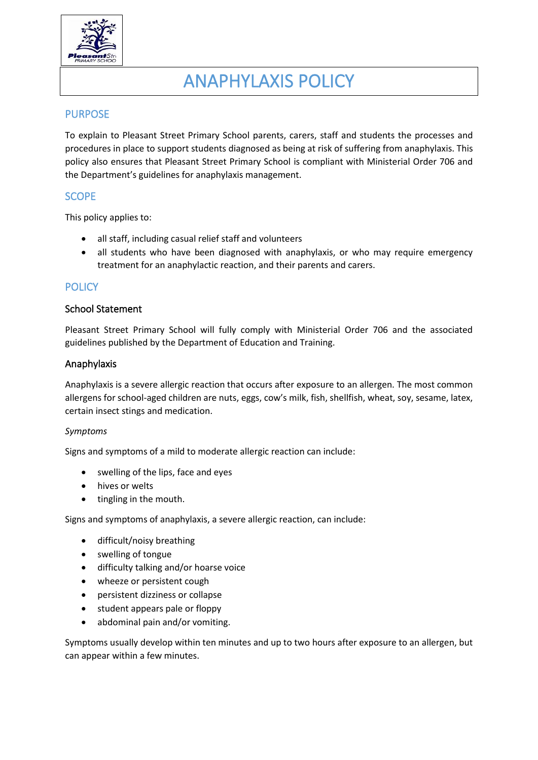

# ANAPHYLAXIS POLICY

# **PURPOSE**

To explain to Pleasant Street Primary School parents, carers, staff and students the processes and procedures in place to support students diagnosed as being at risk of suffering from anaphylaxis. This policy also ensures that Pleasant Street Primary School is compliant with Ministerial Order 706 and the Department's guidelines for anaphylaxis management.

# **SCOPE**

This policy applies to:

- all staff, including casual relief staff and volunteers
- all students who have been diagnosed with anaphylaxis, or who may require emergency treatment for an anaphylactic reaction, and their parents and carers.

## **POLICY**

#### School Statement

Pleasant Street Primary School will fully comply with Ministerial Order 706 and the associated guidelines published by the Department of Education and Training.

#### Anaphylaxis

Anaphylaxis is a severe allergic reaction that occurs after exposure to an allergen. The most common allergens for school-aged children are nuts, eggs, cow's milk, fish, shellfish, wheat, soy, sesame, latex, certain insect stings and medication.

#### *Symptoms*

Signs and symptoms of a mild to moderate allergic reaction can include:

- swelling of the lips, face and eyes
- hives or welts
- tingling in the mouth.

Signs and symptoms of anaphylaxis, a severe allergic reaction, can include:

- difficult/noisy breathing
- swelling of tongue
- difficulty talking and/or hoarse voice
- wheeze or persistent cough
- persistent dizziness or collapse
- student appears pale or floppy
- abdominal pain and/or vomiting.

Symptoms usually develop within ten minutes and up to two hours after exposure to an allergen, but can appear within a few minutes.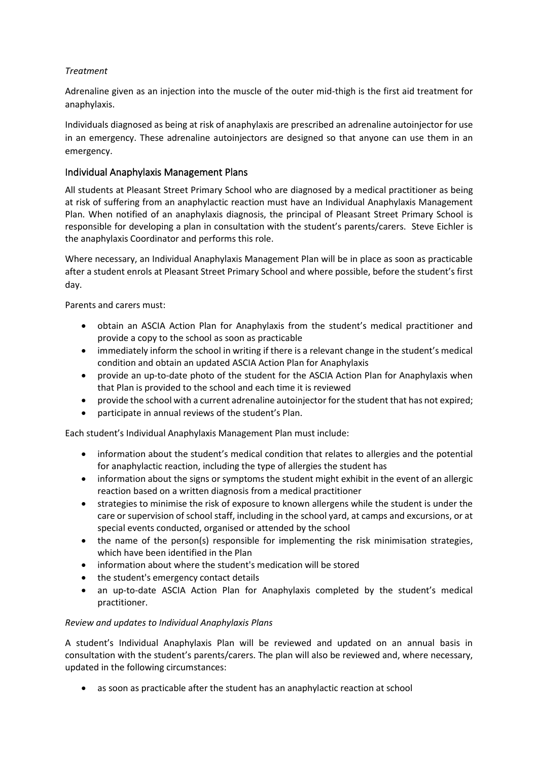#### *Treatment*

Adrenaline given as an injection into the muscle of the outer mid-thigh is the first aid treatment for anaphylaxis.

Individuals diagnosed as being at risk of anaphylaxis are prescribed an adrenaline autoinjector for use in an emergency. These adrenaline autoinjectors are designed so that anyone can use them in an emergency.

## Individual Anaphylaxis Management Plans

All students at Pleasant Street Primary School who are diagnosed by a medical practitioner as being at risk of suffering from an anaphylactic reaction must have an Individual Anaphylaxis Management Plan. When notified of an anaphylaxis diagnosis, the principal of Pleasant Street Primary School is responsible for developing a plan in consultation with the student's parents/carers. Steve Eichler is the anaphylaxis Coordinator and performs this role.

Where necessary, an Individual Anaphylaxis Management Plan will be in place as soon as practicable after a student enrols at Pleasant Street Primary School and where possible, before the student's first day.

Parents and carers must:

- obtain an ASCIA Action Plan for Anaphylaxis from the student's medical practitioner and provide a copy to the school as soon as practicable
- immediately inform the school in writing if there is a relevant change in the student's medical condition and obtain an updated ASCIA Action Plan for Anaphylaxis
- provide an up-to-date photo of the student for the ASCIA Action Plan for Anaphylaxis when that Plan is provided to the school and each time it is reviewed
- provide the school with a current adrenaline autoinjector for the student that has not expired;
- participate in annual reviews of the student's Plan.

Each student's Individual Anaphylaxis Management Plan must include:

- information about the student's medical condition that relates to allergies and the potential for anaphylactic reaction, including the type of allergies the student has
- information about the signs or symptoms the student might exhibit in the event of an allergic reaction based on a written diagnosis from a medical practitioner
- strategies to minimise the risk of exposure to known allergens while the student is under the care or supervision of school staff, including in the school yard, at camps and excursions, or at special events conducted, organised or attended by the school
- the name of the person(s) responsible for implementing the risk minimisation strategies, which have been identified in the Plan
- information about where the student's medication will be stored
- the student's emergency contact details
- an up-to-date ASCIA Action Plan for Anaphylaxis completed by the student's medical practitioner.

#### *Review and updates to Individual Anaphylaxis Plans*

A student's Individual Anaphylaxis Plan will be reviewed and updated on an annual basis in consultation with the student's parents/carers. The plan will also be reviewed and, where necessary, updated in the following circumstances:

• as soon as practicable after the student has an anaphylactic reaction at school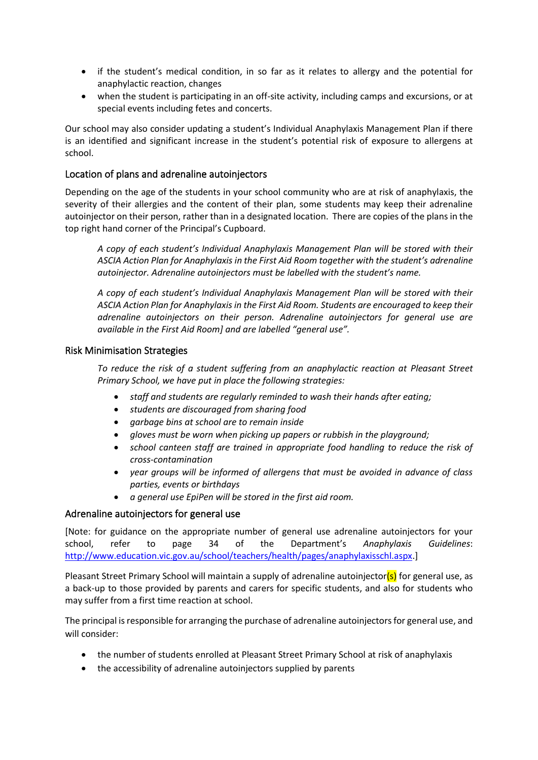- if the student's medical condition, in so far as it relates to allergy and the potential for anaphylactic reaction, changes
- when the student is participating in an off-site activity, including camps and excursions, or at special events including fetes and concerts.

Our school may also consider updating a student's Individual Anaphylaxis Management Plan if there is an identified and significant increase in the student's potential risk of exposure to allergens at school.

#### Location of plans and adrenaline autoinjectors

Depending on the age of the students in your school community who are at risk of anaphylaxis, the severity of their allergies and the content of their plan, some students may keep their adrenaline autoinjector on their person, rather than in a designated location. There are copies of the plans in the top right hand corner of the Principal's Cupboard.

*A copy of each student's Individual Anaphylaxis Management Plan will be stored with their ASCIA Action Plan for Anaphylaxis in the First Aid Room together with the student's adrenaline autoinjector. Adrenaline autoinjectors must be labelled with the student's name.*

*A copy of each student's Individual Anaphylaxis Management Plan will be stored with their ASCIA Action Plan for Anaphylaxis in the First Aid Room. Students are encouraged to keep their adrenaline autoinjectors on their person. Adrenaline autoinjectors for general use are available in the First Aid Room] and are labelled "general use".* 

#### Risk Minimisation Strategies

*To reduce the risk of a student suffering from an anaphylactic reaction at Pleasant Street Primary School, we have put in place the following strategies:*

- *staff and students are regularly reminded to wash their hands after eating;*
- *students are discouraged from sharing food*
- *garbage bins at school are to remain inside*
- *gloves must be worn when picking up papers or rubbish in the playground;*
- *school canteen staff are trained in appropriate food handling to reduce the risk of cross-contamination*
- *year groups will be informed of allergens that must be avoided in advance of class parties, events or birthdays*
- *a general use EpiPen will be stored in the first aid room.*

#### Adrenaline autoinjectors for general use

[Note: for guidance on the appropriate number of general use adrenaline autoinjectors for your school, refer to page 34 of the Department's *Anaphylaxis Guidelines*: [http://www.education.vic.gov.au/school/teachers/health/pages/anaphylaxisschl.aspx.](http://www.education.vic.gov.au/school/teachers/health/pages/anaphylaxisschl.aspx)]

Pleasant Street Primary School will maintain a supply of adrenaline autoinjector(s) for general use, as a back-up to those provided by parents and carers for specific students, and also for students who may suffer from a first time reaction at school.

The principal is responsible for arranging the purchase of adrenaline autoinjectors for general use, and will consider:

- the number of students enrolled at Pleasant Street Primary School at risk of anaphylaxis
- the accessibility of adrenaline autoinjectors supplied by parents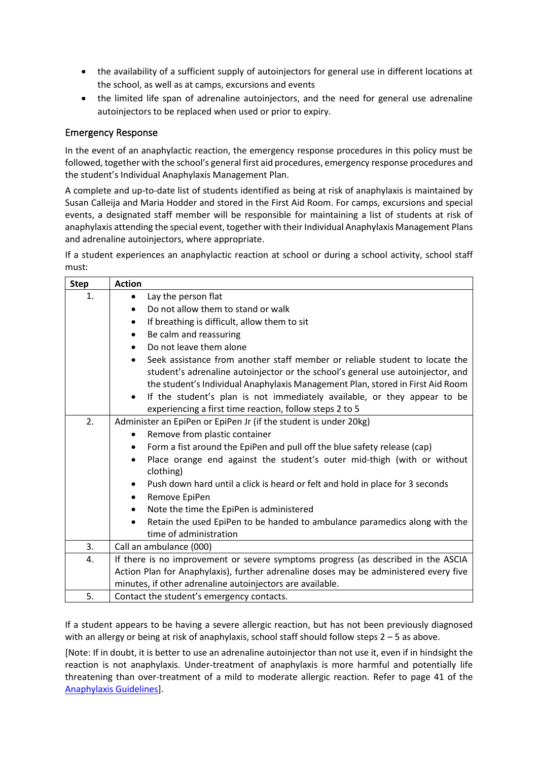- the availability of a sufficient supply of autoinjectors for general use in different locations at the school, as well as at camps, excursions and events
- the limited life span of adrenaline autoinjectors, and the need for general use adrenaline autoinjectors to be replaced when used or prior to expiry.

#### Emergency Response

In the event of an anaphylactic reaction, the emergency response procedures in this policy must be followed, together with the school's general first aid procedures, emergency response procedures and the student's Individual Anaphylaxis Management Plan.

A complete and up-to-date list of students identified as being at risk of anaphylaxis is maintained by Susan Calleija and Maria Hodder and stored in the First Aid Room. For camps, excursions and special events, a designated staff member will be responsible for maintaining a list of students at risk of anaphylaxis attending the special event, together with their Individual Anaphylaxis Management Plans and adrenaline autoinjectors, where appropriate.

If a student experiences an anaphylactic reaction at school or during a school activity, school staff must:

| <b>Step</b> | <b>Action</b>                                                                            |
|-------------|------------------------------------------------------------------------------------------|
| 1.          | Lay the person flat<br>$\bullet$                                                         |
|             | Do not allow them to stand or walk<br>$\bullet$                                          |
|             | If breathing is difficult, allow them to sit<br>$\bullet$                                |
|             | Be calm and reassuring<br>$\bullet$                                                      |
|             | Do not leave them alone<br>$\bullet$                                                     |
|             | Seek assistance from another staff member or reliable student to locate the<br>$\bullet$ |
|             | student's adrenaline autoinjector or the school's general use autoinjector, and          |
|             | the student's Individual Anaphylaxis Management Plan, stored in First Aid Room           |
|             | If the student's plan is not immediately available, or they appear to be<br>$\bullet$    |
|             | experiencing a first time reaction, follow steps 2 to 5                                  |
| 2.          | Administer an EpiPen or EpiPen Jr (if the student is under 20kg)                         |
|             | Remove from plastic container<br>$\bullet$                                               |
|             | Form a fist around the EpiPen and pull off the blue safety release (cap)<br>$\bullet$    |
|             | Place orange end against the student's outer mid-thigh (with or without<br>$\bullet$     |
|             | clothing)                                                                                |
|             | Push down hard until a click is heard or felt and hold in place for 3 seconds            |
|             | Remove EpiPen<br>$\bullet$                                                               |
|             | Note the time the EpiPen is administered<br>$\bullet$                                    |
|             | Retain the used EpiPen to be handed to ambulance paramedics along with the<br>$\bullet$  |
|             | time of administration                                                                   |
| 3.          | Call an ambulance (000)                                                                  |
| 4.          | If there is no improvement or severe symptoms progress (as described in the ASCIA        |
|             | Action Plan for Anaphylaxis), further adrenaline doses may be administered every five    |
|             | minutes, if other adrenaline autoinjectors are available.                                |
| 5.          | Contact the student's emergency contacts.                                                |

If a student appears to be having a severe allergic reaction, but has not been previously diagnosed with an allergy or being at risk of anaphylaxis, school staff should follow steps 2 – 5 as above.

[Note: If in doubt, it is better to use an adrenaline autoinjector than not use it, even if in hindsight the reaction is not anaphylaxis. Under-treatment of anaphylaxis is more harmful and potentially life threatening than over-treatment of a mild to moderate allergic reaction. Refer to page 41 of the [Anaphylaxis](http://www.education.vic.gov.au/school/teachers/health/pages/anaphylaxisschl.aspx) Guidelines].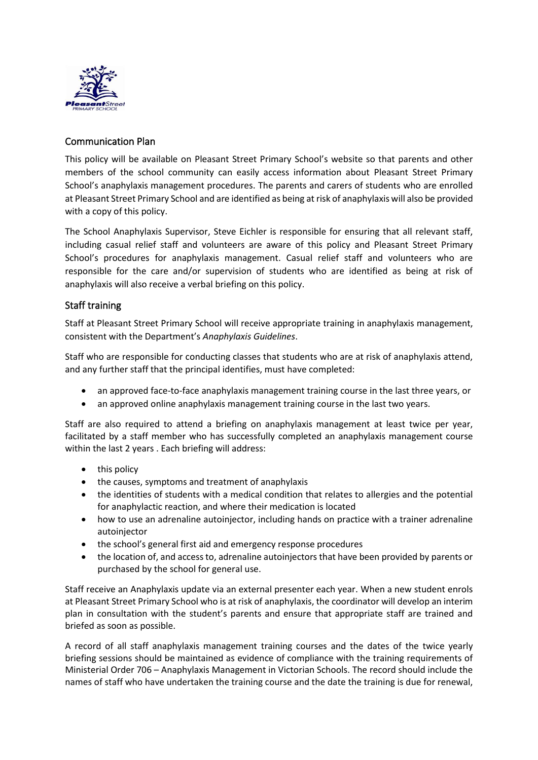

## Communication Plan

This policy will be available on Pleasant Street Primary School's website so that parents and other members of the school community can easily access information about Pleasant Street Primary School's anaphylaxis management procedures. The parents and carers of students who are enrolled at Pleasant Street Primary School and are identified as being at risk of anaphylaxis will also be provided with a copy of this policy.

The School Anaphylaxis Supervisor, Steve Eichler is responsible for ensuring that all relevant staff, including casual relief staff and volunteers are aware of this policy and Pleasant Street Primary School's procedures for anaphylaxis management. Casual relief staff and volunteers who are responsible for the care and/or supervision of students who are identified as being at risk of anaphylaxis will also receive a verbal briefing on this policy.

## Staff training

Staff at Pleasant Street Primary School will receive appropriate training in anaphylaxis management, consistent with the Department's *Anaphylaxis Guidelines*.

Staff who are responsible for conducting classes that students who are at risk of anaphylaxis attend, and any further staff that the principal identifies, must have completed:

- an approved face-to-face anaphylaxis management training course in the last three years, or
- an approved online anaphylaxis management training course in the last two years.

Staff are also required to attend a briefing on anaphylaxis management at least twice per year, facilitated by a staff member who has successfully completed an anaphylaxis management course within the last 2 years . Each briefing will address:

- this policy
- the causes, symptoms and treatment of anaphylaxis
- the identities of students with a medical condition that relates to allergies and the potential for anaphylactic reaction, and where their medication is located
- how to use an adrenaline autoiniector, including hands on practice with a trainer adrenaline autoiniector
- the school's general first aid and emergency response procedures
- the location of, and access to, adrenaline autoinjectors that have been provided by parents or purchased by the school for general use.

Staff receive an Anaphylaxis update via an external presenter each year. When a new student enrols at Pleasant Street Primary School who is at risk of anaphylaxis, the coordinator will develop an interim plan in consultation with the student's parents and ensure that appropriate staff are trained and briefed as soon as possible.

A record of all staff anaphylaxis management training courses and the dates of the twice yearly briefing sessions should be maintained as evidence of compliance with the training requirements of Ministerial Order 706 – Anaphylaxis Management in Victorian Schools. The record should include the names of staff who have undertaken the training course and the date the training is due for renewal,